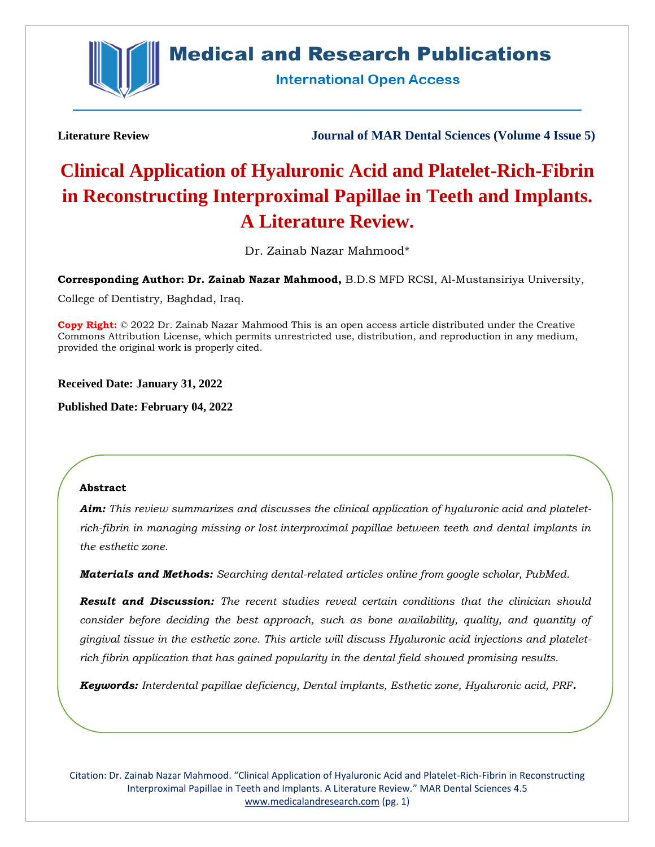

## **Medical and Research Publications**

**International Open Access** 

**Literature Review Journal of MAR Dental Sciences (Volume 4 Issue 5)**

# **Clinical Application of Hyaluronic Acid and Platelet-Rich-Fibrin in Reconstructing Interproximal Papillae in Teeth and Implants. A Literature Review.**

Dr. Zainab Nazar Mahmood\*

**Corresponding Author: Dr. Zainab Nazar Mahmood,** B.D.S MFD RCSI, Al-Mustansiriya University,

College of Dentistry, Baghdad, Iraq.

**Copy Right:** © 2022 Dr. Zainab Nazar Mahmood This is an open access article distributed under the Creative Commons Attribution License, which permits unrestricted use, distribution, and reproduction in any medium, provided the original work is properly cited.

**Received Date: January 31, 2022**

**Published Date: February 04, 2022**

#### **Abstract**

*Aim: This review summarizes and discusses the clinical application of hyaluronic acid and plateletrich-fibrin in managing missing or lost interproximal papillae between teeth and dental implants in the esthetic zone.*

*Materials and Methods: Searching dental-related articles online from google scholar, PubMed.* 

*Result and Discussion: The recent studies reveal certain conditions that the clinician should consider before deciding the best approach, such as bone availability, quality, and quantity of gingival tissue in the esthetic zone. This article will discuss Hyaluronic acid injections and plateletrich fibrin application that has gained popularity in the dental field showed promising results.*

*Keywords: Interdental papillae deficiency, Dental implants, Esthetic zone, Hyaluronic acid, PRF.*

Citation: Dr. Zainab Nazar Mahmood. "Clinical Application of Hyaluronic Acid and Platelet-Rich-Fibrin in Reconstructing Interproximal Papillae in Teeth and Implants. A Literature Review." MAR Dental Sciences 4.5 [www.medicalandresearch.com](http://www.medicalandresearch.com/) (pg. 1)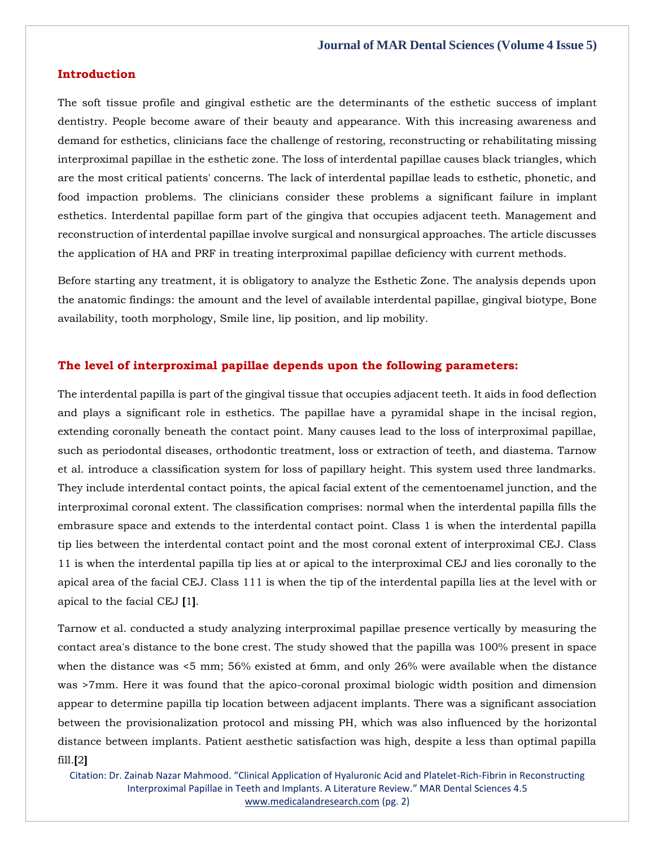#### **Introduction**

The soft tissue profile and gingival esthetic are the determinants of the esthetic success of implant dentistry. People become aware of their beauty and appearance. With this increasing awareness and demand for esthetics, clinicians face the challenge of restoring, reconstructing or rehabilitating missing interproximal papillae in the esthetic zone. The loss of interdental papillae causes black triangles, which are the most critical patients' concerns. The lack of interdental papillae leads to esthetic, phonetic, and food impaction problems. The clinicians consider these problems a significant failure in implant esthetics. Interdental papillae form part of the gingiva that occupies adjacent teeth. Management and reconstruction of interdental papillae involve surgical and nonsurgical approaches. The article discusses the application of HA and PRF in treating interproximal papillae deficiency with current methods.

Before starting any treatment, it is obligatory to analyze the Esthetic Zone. The analysis depends upon the anatomic findings: the amount and the level of available interdental papillae, gingival biotype, Bone availability, tooth morphology, Smile line, lip position, and lip mobility.

#### **The level of interproximal papillae depends upon the following parameters:**

The interdental papilla is part of the gingival tissue that occupies adjacent teeth. It aids in food deflection and plays a significant role in esthetics. The papillae have a pyramidal shape in the incisal region, extending coronally beneath the contact point. Many causes lead to the loss of interproximal papillae, such as periodontal diseases, orthodontic treatment, loss or extraction of teeth, and diastema. Tarnow et al. introduce a classification system for loss of papillary height. This system used three landmarks. They include interdental contact points, the apical facial extent of the cementoenamel junction, and the interproximal coronal extent. The classification comprises: normal when the interdental papilla fills the embrasure space and extends to the interdental contact point. Class 1 is when the interdental papilla tip lies between the interdental contact point and the most coronal extent of interproximal CEJ. Class 11 is when the interdental papilla tip lies at or apical to the interproximal CEJ and lies coronally to the apical area of the facial CEJ. Class 111 is when the tip of the interdental papilla lies at the level with or apical to the facial CEJ **[**1**]**.

Tarnow et al. conducted a study analyzing interproximal papillae presence vertically by measuring the contact area's distance to the bone crest. The study showed that the papilla was 100% present in space when the distance was <5 mm; 56% existed at 6mm, and only 26% were available when the distance was >7mm. Here it was found that the apico-coronal proximal biologic width position and dimension appear to determine papilla tip location between adjacent implants. There was a significant association between the provisionalization protocol and missing PH, which was also influenced by the horizontal distance between implants. Patient aesthetic satisfaction was high, despite a less than optimal papilla fill.**[**2**]**

Citation: Dr. Zainab Nazar Mahmood. "Clinical Application of Hyaluronic Acid and Platelet-Rich-Fibrin in Reconstructing Interproximal Papillae in Teeth and Implants. A Literature Review." MAR Dental Sciences 4.5 [www.medicalandresearch.com](http://www.medicalandresearch.com/) (pg. 2)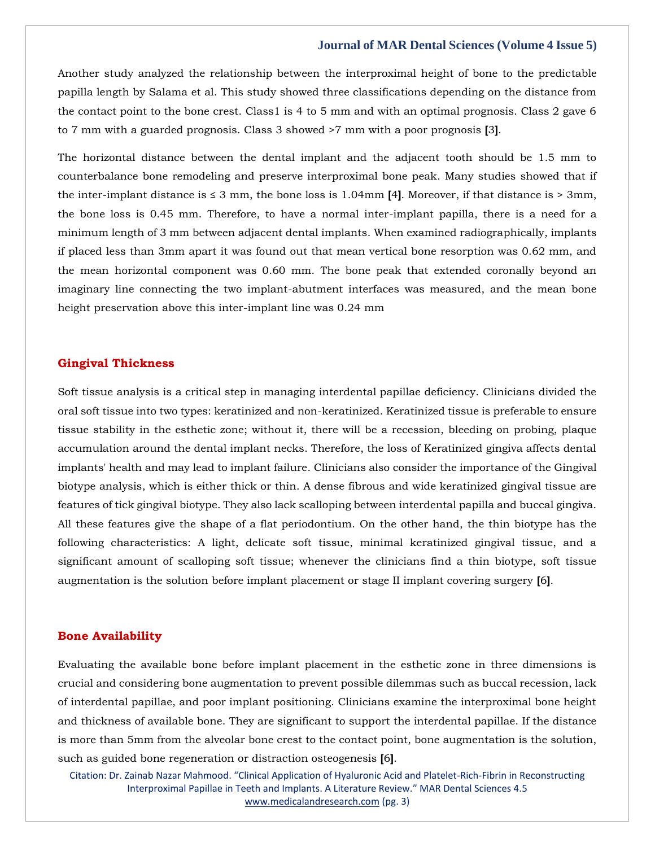Another study analyzed the relationship between the interproximal height of bone to the predictable papilla length by Salama et al. This study showed three classifications depending on the distance from the contact point to the bone crest. Class1 is 4 to 5 mm and with an optimal prognosis. Class 2 gave 6 to 7 mm with a guarded prognosis. Class 3 showed >7 mm with a poor prognosis **[**3**]**.

The horizontal distance between the dental implant and the adjacent tooth should be 1.5 mm to counterbalance bone remodeling and preserve interproximal bone peak. Many studies showed that if the inter-implant distance is  $\leq 3$  mm, the bone loss is 1.04mm [4]. Moreover, if that distance is  $> 3$ mm, the bone loss is 0.45 mm. Therefore, to have a normal inter-implant papilla, there is a need for a minimum length of 3 mm between adjacent dental implants. When examined radiographically, implants if placed less than 3mm apart it was found out that mean vertical bone resorption was 0.62 mm, and the mean horizontal component was 0.60 mm. The bone peak that extended coronally beyond an imaginary line connecting the two implant-abutment interfaces was measured, and the mean bone height preservation above this inter-implant line was 0.24 mm

#### **Gingival Thickness**

Soft tissue analysis is a critical step in managing interdental papillae deficiency. Clinicians divided the oral soft tissue into two types: keratinized and non-keratinized. Keratinized tissue is preferable to ensure tissue stability in the esthetic zone; without it, there will be a recession, bleeding on probing, plaque accumulation around the dental implant necks. Therefore, the loss of Keratinized gingiva affects dental implants' health and may lead to implant failure. Clinicians also consider the importance of the Gingival biotype analysis, which is either thick or thin. A dense fibrous and wide keratinized gingival tissue are features of tick gingival biotype. They also lack scalloping between interdental papilla and buccal gingiva. All these features give the shape of a flat periodontium. On the other hand, the thin biotype has the following characteristics: A light, delicate soft tissue, minimal keratinized gingival tissue, and a significant amount of scalloping soft tissue; whenever the clinicians find a thin biotype, soft tissue augmentation is the solution before implant placement or stage II implant covering surgery **[**6**]**.

#### **Bone Availability**

Evaluating the available bone before implant placement in the esthetic zone in three dimensions is crucial and considering bone augmentation to prevent possible dilemmas such as buccal recession, lack of interdental papillae, and poor implant positioning. Clinicians examine the interproximal bone height and thickness of available bone. They are significant to support the interdental papillae. If the distance is more than 5mm from the alveolar bone crest to the contact point, bone augmentation is the solution, such as guided bone regeneration or distraction osteogenesis **[**6**]**.

Citation: Dr. Zainab Nazar Mahmood. "Clinical Application of Hyaluronic Acid and Platelet-Rich-Fibrin in Reconstructing Interproximal Papillae in Teeth and Implants. A Literature Review." MAR Dental Sciences 4.5 [www.medicalandresearch.com](http://www.medicalandresearch.com/) (pg. 3)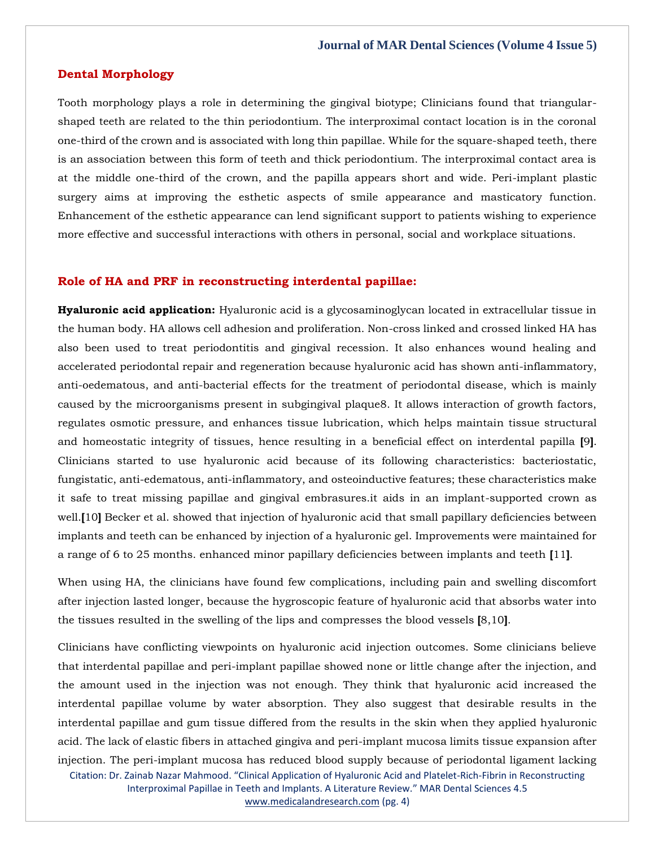#### **Dental Morphology**

Tooth morphology plays a role in determining the gingival biotype; Clinicians found that triangularshaped teeth are related to the thin periodontium. The interproximal contact location is in the coronal one-third of the crown and is associated with long thin papillae. While for the square-shaped teeth, there is an association between this form of teeth and thick periodontium. The interproximal contact area is at the middle one-third of the crown, and the papilla appears short and wide. Peri-implant plastic surgery aims at improving the esthetic aspects of smile appearance and masticatory function. Enhancement of the esthetic appearance can lend significant support to patients wishing to experience more effective and successful interactions with others in personal, social and workplace situations.

#### **Role of HA and PRF in reconstructing interdental papillae:**

**Hyaluronic acid application:** Hyaluronic acid is a glycosaminoglycan located in extracellular tissue in the human body. HA allows cell adhesion and proliferation. Non-cross linked and crossed linked HA has also been used to treat periodontitis and gingival recession. It also enhances wound healing and accelerated periodontal repair and regeneration because hyaluronic acid has shown anti-inflammatory, anti-oedematous, and anti-bacterial effects for the treatment of periodontal disease, which is mainly caused by the microorganisms present in subgingival plaque8. It allows interaction of growth factors, regulates osmotic pressure, and enhances tissue lubrication, which helps maintain tissue structural and homeostatic integrity of tissues, hence resulting in a beneficial effect on interdental papilla **[**9**]**. Clinicians started to use hyaluronic acid because of its following characteristics: bacteriostatic, fungistatic, anti-edematous, anti-inflammatory, and osteoinductive features; these characteristics make it safe to treat missing papillae and gingival embrasures.it aids in an implant-supported crown as well.**[**10**]** Becker et al. showed that injection of hyaluronic acid that small papillary deficiencies between implants and teeth can be enhanced by injection of a hyaluronic gel. Improvements were maintained for a range of 6 to 25 months. enhanced minor papillary deficiencies between implants and teeth **[**11**]**.

When using HA, the clinicians have found few complications, including pain and swelling discomfort after injection lasted longer, because the hygroscopic feature of hyaluronic acid that absorbs water into the tissues resulted in the swelling of the lips and compresses the blood vessels **[**8,10**]**.

Citation: Dr. Zainab Nazar Mahmood. "Clinical Application of Hyaluronic Acid and Platelet-Rich-Fibrin in Reconstructing Clinicians have conflicting viewpoints on hyaluronic acid injection outcomes. Some clinicians believe that interdental papillae and peri-implant papillae showed none or little change after the injection, and the amount used in the injection was not enough. They think that hyaluronic acid increased the interdental papillae volume by water absorption. They also suggest that desirable results in the interdental papillae and gum tissue differed from the results in the skin when they applied hyaluronic acid. The lack of elastic fibers in attached gingiva and peri-implant mucosa limits tissue expansion after injection. The peri-implant mucosa has reduced blood supply because of periodontal ligament lacking

Interproximal Papillae in Teeth and Implants. A Literature Review." MAR Dental Sciences 4.5 [www.medicalandresearch.com](http://www.medicalandresearch.com/) (pg. 4)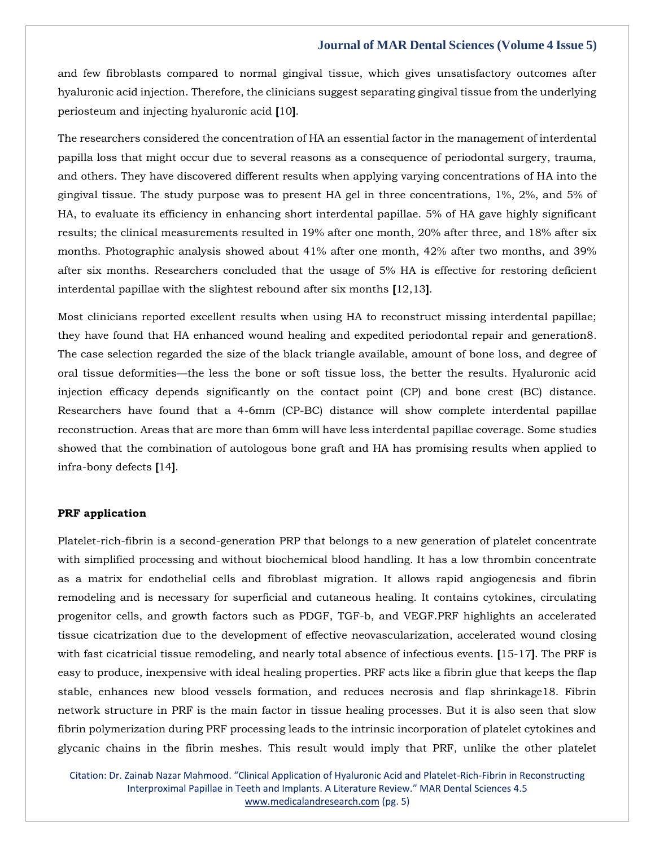and few fibroblasts compared to normal gingival tissue, which gives unsatisfactory outcomes after hyaluronic acid injection. Therefore, the clinicians suggest separating gingival tissue from the underlying periosteum and injecting hyaluronic acid **[**10**]**.

The researchers considered the concentration of HA an essential factor in the management of interdental papilla loss that might occur due to several reasons as a consequence of periodontal surgery, trauma, and others. They have discovered different results when applying varying concentrations of HA into the gingival tissue. The study purpose was to present HA gel in three concentrations, 1%, 2%, and 5% of HA, to evaluate its efficiency in enhancing short interdental papillae. 5% of HA gave highly significant results; the clinical measurements resulted in 19% after one month, 20% after three, and 18% after six months. Photographic analysis showed about 41% after one month, 42% after two months, and 39% after six months. Researchers concluded that the usage of 5% HA is effective for restoring deficient interdental papillae with the slightest rebound after six months **[**12,13**]**.

Most clinicians reported excellent results when using HA to reconstruct missing interdental papillae; they have found that HA enhanced wound healing and expedited periodontal repair and generation8. The case selection regarded the size of the black triangle available, amount of bone loss, and degree of oral tissue deformities—the less the bone or soft tissue loss, the better the results. Hyaluronic acid injection efficacy depends significantly on the contact point (CP) and bone crest (BC) distance. Researchers have found that a 4-6mm (CP-BC) distance will show complete interdental papillae reconstruction. Areas that are more than 6mm will have less interdental papillae coverage. Some studies showed that the combination of autologous bone graft and HA has promising results when applied to infra-bony defects **[**14**]**.

#### **PRF application**

Platelet-rich-fibrin is a second-generation PRP that belongs to a new generation of platelet concentrate with simplified processing and without biochemical blood handling. It has a low thrombin concentrate as a matrix for endothelial cells and fibroblast migration. It allows rapid angiogenesis and fibrin remodeling and is necessary for superficial and cutaneous healing. It contains cytokines, circulating progenitor cells, and growth factors such as PDGF, TGF-b, and VEGF.PRF highlights an accelerated tissue cicatrization due to the development of effective neovascularization, accelerated wound closing with fast cicatricial tissue remodeling, and nearly total absence of infectious events. **[**15-17**]**. The PRF is easy to produce, inexpensive with ideal healing properties. PRF acts like a fibrin glue that keeps the flap stable, enhances new blood vessels formation, and reduces necrosis and flap shrinkage18. Fibrin network structure in PRF is the main factor in tissue healing processes. But it is also seen that slow fibrin polymerization during PRF processing leads to the intrinsic incorporation of platelet cytokines and glycanic chains in the fibrin meshes. This result would imply that PRF, unlike the other platelet

Citation: Dr. Zainab Nazar Mahmood. "Clinical Application of Hyaluronic Acid and Platelet-Rich-Fibrin in Reconstructing Interproximal Papillae in Teeth and Implants. A Literature Review." MAR Dental Sciences 4.5 [www.medicalandresearch.com](http://www.medicalandresearch.com/) (pg. 5)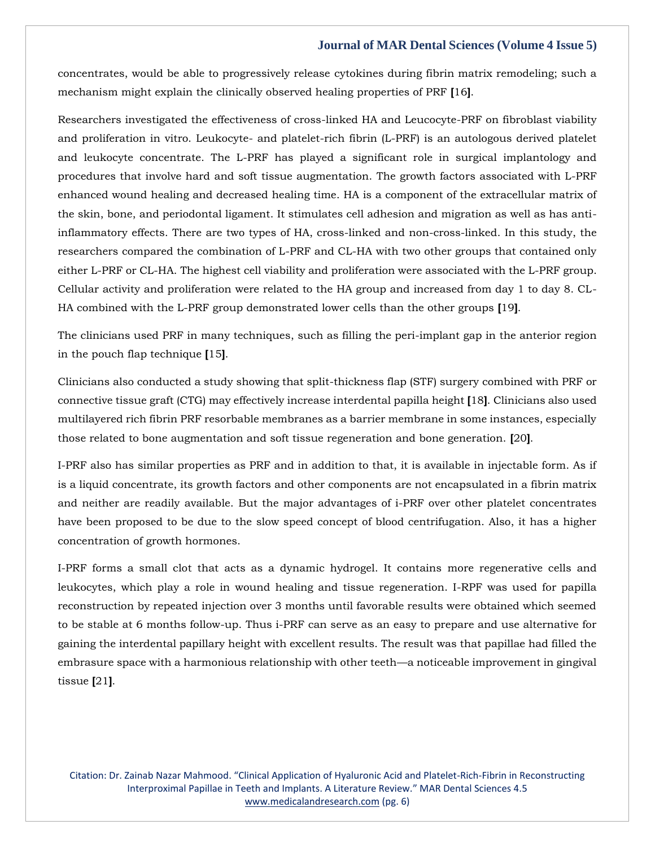concentrates, would be able to progressively release cytokines during fibrin matrix remodeling; such a mechanism might explain the clinically observed healing properties of PRF **[**16**]**.

Researchers investigated the effectiveness of cross-linked HA and Leucocyte-PRF on fibroblast viability and proliferation in vitro. Leukocyte- and platelet-rich fibrin (L-PRF) is an autologous derived platelet and leukocyte concentrate. The L-PRF has played a significant role in surgical implantology and procedures that involve hard and soft tissue augmentation. The growth factors associated with L-PRF enhanced wound healing and decreased healing time. HA is a component of the extracellular matrix of the skin, bone, and periodontal ligament. It stimulates cell adhesion and migration as well as has antiinflammatory effects. There are two types of HA, cross-linked and non-cross-linked. In this study, the researchers compared the combination of L-PRF and CL-HA with two other groups that contained only either L-PRF or CL-HA. The highest cell viability and proliferation were associated with the L-PRF group. Cellular activity and proliferation were related to the HA group and increased from day 1 to day 8. CL-HA combined with the L-PRF group demonstrated lower cells than the other groups **[**19**]**.

The clinicians used PRF in many techniques, such as filling the peri-implant gap in the anterior region in the pouch flap technique **[**15**]**.

Clinicians also conducted a study showing that split-thickness flap (STF) surgery combined with PRF or connective tissue graft (CTG) may effectively increase interdental papilla height **[**18**]**. Clinicians also used multilayered rich fibrin PRF resorbable membranes as a barrier membrane in some instances, especially those related to bone augmentation and soft tissue regeneration and bone generation. **[**20**]**.

I-PRF also has similar properties as PRF and in addition to that, it is available in injectable form. As if is a liquid concentrate, its growth factors and other components are not encapsulated in a fibrin matrix and neither are readily available. But the major advantages of i-PRF over other platelet concentrates have been proposed to be due to the slow speed concept of blood centrifugation. Also, it has a higher concentration of growth hormones.

I-PRF forms a small clot that acts as a dynamic hydrogel. It contains more regenerative cells and leukocytes, which play a role in wound healing and tissue regeneration. I-RPF was used for papilla reconstruction by repeated injection over 3 months until favorable results were obtained which seemed to be stable at 6 months follow-up. Thus i-PRF can serve as an easy to prepare and use alternative for gaining the interdental papillary height with excellent results. The result was that papillae had filled the embrasure space with a harmonious relationship with other teeth—a noticeable improvement in gingival tissue **[**21**]**.

Citation: Dr. Zainab Nazar Mahmood. "Clinical Application of Hyaluronic Acid and Platelet-Rich-Fibrin in Reconstructing Interproximal Papillae in Teeth and Implants. A Literature Review." MAR Dental Sciences 4.5 [www.medicalandresearch.com](http://www.medicalandresearch.com/) (pg. 6)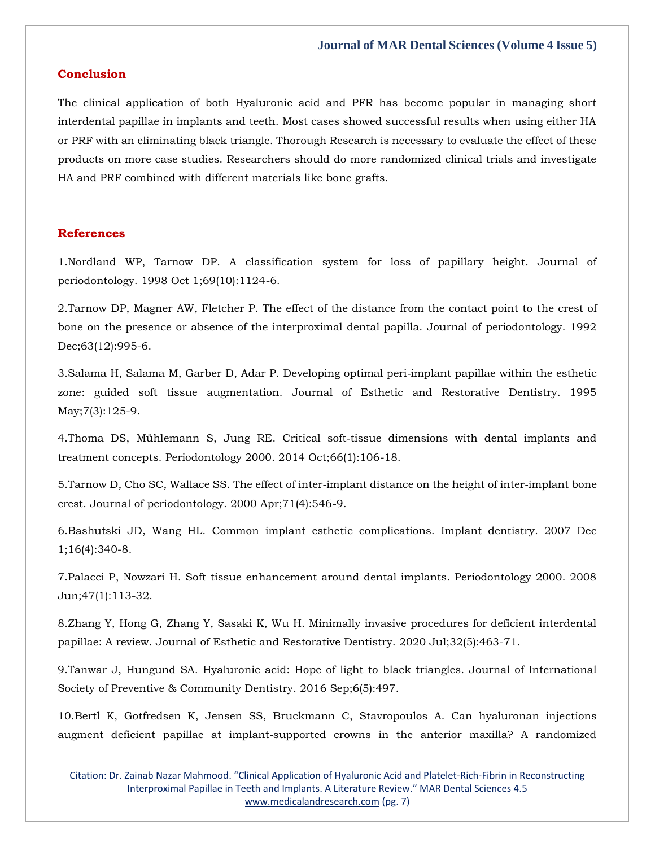#### **Conclusion**

The clinical application of both Hyaluronic acid and PFR has become popular in managing short interdental papillae in implants and teeth. Most cases showed successful results when using either HA or PRF with an eliminating black triangle. Thorough Research is necessary to evaluate the effect of these products on more case studies. Researchers should do more randomized clinical trials and investigate HA and PRF combined with different materials like bone grafts.

#### **References**

1.Nordland WP, Tarnow DP. [A classification system for loss of papillary height. Journal of](https://www.google.com/search?q=A+classification+system+for+loss+of+papillary+height&oq=A+classification+system+for+loss+of+papillary+height&aqs=chrome..69i57.362j0j7&sourceid=chrome&ie=UTF-8)  [periodontology. 1998 Oct 1;69\(10\):1124-6.](https://www.google.com/search?q=A+classification+system+for+loss+of+papillary+height&oq=A+classification+system+for+loss+of+papillary+height&aqs=chrome..69i57.362j0j7&sourceid=chrome&ie=UTF-8)

2[.Tarnow DP, Magner AW, Fletcher P. The effect of the distance from the contact point to the crest of](https://www.google.com/search?q=The+effect+of+the+distance+from+the+contact+point+to+the+crest+of+bone+on+the+presence+or+absence+of+the+interproximal+dental+papilla&sxsrf=APq-WBvG97kNZK6gxx1jEqrCYgeQTqTytw%3A1643812673651&ei=QZf6Yd6fJ5io3LUP74mB4AI&ved=0ahUKEwiexPWzn-H1AhUYFLcAHe9EACwQ4dUDCA4&uact=5&oq=The+effect+of+the+distance+from+the+contact+point+to+the+crest+of+bone+on+the+presence+or+absence+of+the+interproximal+dental+papilla&gs_lcp=Cgdnd3Mtd2l6EAMyBwgjEOoCECcyBwgjEOoCECcyBwgjEOoCECcyBwgjEOoCECcyBwgjEOoCECcyBwgjEOoCECcyBwgjEOoCECcyBwgjEOoCECcyBwgjEOoCECcyBwgjEOoCECdKBAhBGABKBAhGGABQwwVYwwVgpwdoAXAAeACAAQCIAQCSAQCYAQCgAQGgAQKwAQrAAQE&sclient=gws-wiz)  [bone on the presence or absence of the interproximal dental papilla. Journal of periodontology. 1992](https://www.google.com/search?q=The+effect+of+the+distance+from+the+contact+point+to+the+crest+of+bone+on+the+presence+or+absence+of+the+interproximal+dental+papilla&sxsrf=APq-WBvG97kNZK6gxx1jEqrCYgeQTqTytw%3A1643812673651&ei=QZf6Yd6fJ5io3LUP74mB4AI&ved=0ahUKEwiexPWzn-H1AhUYFLcAHe9EACwQ4dUDCA4&uact=5&oq=The+effect+of+the+distance+from+the+contact+point+to+the+crest+of+bone+on+the+presence+or+absence+of+the+interproximal+dental+papilla&gs_lcp=Cgdnd3Mtd2l6EAMyBwgjEOoCECcyBwgjEOoCECcyBwgjEOoCECcyBwgjEOoCECcyBwgjEOoCECcyBwgjEOoCECcyBwgjEOoCECcyBwgjEOoCECcyBwgjEOoCECcyBwgjEOoCECdKBAhBGABKBAhGGABQwwVYwwVgpwdoAXAAeACAAQCIAQCSAQCYAQCgAQGgAQKwAQrAAQE&sclient=gws-wiz)  [Dec;63\(12\):995-6.](https://www.google.com/search?q=The+effect+of+the+distance+from+the+contact+point+to+the+crest+of+bone+on+the+presence+or+absence+of+the+interproximal+dental+papilla&sxsrf=APq-WBvG97kNZK6gxx1jEqrCYgeQTqTytw%3A1643812673651&ei=QZf6Yd6fJ5io3LUP74mB4AI&ved=0ahUKEwiexPWzn-H1AhUYFLcAHe9EACwQ4dUDCA4&uact=5&oq=The+effect+of+the+distance+from+the+contact+point+to+the+crest+of+bone+on+the+presence+or+absence+of+the+interproximal+dental+papilla&gs_lcp=Cgdnd3Mtd2l6EAMyBwgjEOoCECcyBwgjEOoCECcyBwgjEOoCECcyBwgjEOoCECcyBwgjEOoCECcyBwgjEOoCECcyBwgjEOoCECcyBwgjEOoCECcyBwgjEOoCECcyBwgjEOoCECdKBAhBGABKBAhGGABQwwVYwwVgpwdoAXAAeACAAQCIAQCSAQCYAQCgAQGgAQKwAQrAAQE&sclient=gws-wiz)

3[.Salama H, Salama M, Garber D, Adar P. Developing optimal peri](https://www.google.com/search?q=Developing+optimal+peri%E2%80%90implant+papillae+within+the+esthetic+zone%3A+guided+soft+tissue+augmentation&sxsrf=APq-WBtYSETDw0UWYe1p9_A7OlSF75vSDw%3A1643812690343&ei=Upf6YY-uFOT7z7sPyNqMsAo&ved=0ahUKEwiPn_C7n-H1AhXk_XMBHUgtA6YQ4dUDCA4&uact=5&oq=Developing+optimal+peri%E2%80%90implant+papillae+within+the+esthetic+zone%3A+guided+soft+tissue+augmentation&gs_lcp=Cgdnd3Mtd2l6EAM6BwgjEOoCECdKBAhBGABKBAhGGABQ_QVY_QVgnAhoAXACeACAAegBiAHoAZIBAzItMZgBAKABAaABArABCsABAQ&sclient=gws-wiz)‐implant papillae within the esthetic zone: [guided soft tissue augmentation. Journal of Esthetic and Restorative Dentistry. 1995](https://www.google.com/search?q=Developing+optimal+peri%E2%80%90implant+papillae+within+the+esthetic+zone%3A+guided+soft+tissue+augmentation&sxsrf=APq-WBtYSETDw0UWYe1p9_A7OlSF75vSDw%3A1643812690343&ei=Upf6YY-uFOT7z7sPyNqMsAo&ved=0ahUKEwiPn_C7n-H1AhXk_XMBHUgtA6YQ4dUDCA4&uact=5&oq=Developing+optimal+peri%E2%80%90implant+papillae+within+the+esthetic+zone%3A+guided+soft+tissue+augmentation&gs_lcp=Cgdnd3Mtd2l6EAM6BwgjEOoCECdKBAhBGABKBAhGGABQ_QVY_QVgnAhoAXACeACAAegBiAHoAZIBAzItMZgBAKABAaABArABCsABAQ&sclient=gws-wiz)  [May;7\(3\):125-9.](https://www.google.com/search?q=Developing+optimal+peri%E2%80%90implant+papillae+within+the+esthetic+zone%3A+guided+soft+tissue+augmentation&sxsrf=APq-WBtYSETDw0UWYe1p9_A7OlSF75vSDw%3A1643812690343&ei=Upf6YY-uFOT7z7sPyNqMsAo&ved=0ahUKEwiPn_C7n-H1AhXk_XMBHUgtA6YQ4dUDCA4&uact=5&oq=Developing+optimal+peri%E2%80%90implant+papillae+within+the+esthetic+zone%3A+guided+soft+tissue+augmentation&gs_lcp=Cgdnd3Mtd2l6EAM6BwgjEOoCECdKBAhBGABKBAhGGABQ_QVY_QVgnAhoAXACeACAAegBiAHoAZIBAzItMZgBAKABAaABArABCsABAQ&sclient=gws-wiz)

4[.Thoma DS, Mühlemann S, Jung RE. Critical soft](https://www.google.com/search?q=Critical+soft%E2%80%90tissue+dimensions+with+dental+implants+and+treatment+concepts&sxsrf=APq-WBt_TJNaNEsyZbUOhq5uM5PUxXjtKw%3A1643812705709&ei=YZf6Ye_qKvXez7sPjPGD8Ao&ved=0ahUKEwivn5rDn-H1AhV173MBHYz4AK4Q4dUDCA4&uact=5&oq=Critical+soft%E2%80%90tissue+dimensions+with+dental+implants+and+treatment+concepts&gs_lcp=Cgdnd3Mtd2l6EAMyBggAEBYQHjoHCCMQ6gIQJ0oECEEYAEoECEYYAFCgBVigBWDcB2gBcAB4AIABhgKIAYYCkgEDMi0xmAEAoAEBoAECsAEKwAEB&sclient=gws-wiz)-tissue dimensions with dental implants and [treatment concepts. Periodontology 2000. 2014 Oct;66\(1\):106-18.](https://www.google.com/search?q=Critical+soft%E2%80%90tissue+dimensions+with+dental+implants+and+treatment+concepts&sxsrf=APq-WBt_TJNaNEsyZbUOhq5uM5PUxXjtKw%3A1643812705709&ei=YZf6Ye_qKvXez7sPjPGD8Ao&ved=0ahUKEwivn5rDn-H1AhV173MBHYz4AK4Q4dUDCA4&uact=5&oq=Critical+soft%E2%80%90tissue+dimensions+with+dental+implants+and+treatment+concepts&gs_lcp=Cgdnd3Mtd2l6EAMyBggAEBYQHjoHCCMQ6gIQJ0oECEEYAEoECEYYAFCgBVigBWDcB2gBcAB4AIABhgKIAYYCkgEDMi0xmAEAoAEBoAECsAEKwAEB&sclient=gws-wiz)

5. Tarnow D, Cho SC, Wallace SS. The effect of inter-implant distance on the height of inter-implant bone [crest. Journal of periodontology. 2000 Apr;71\(4\):546-9.](https://www.google.com/search?q=The+effect+of+inter%E2%80%90implant+distance+on+the+height+of+inter%E2%80%90implant+bone+crest&sxsrf=APq-WBvv4XDDjNhvMgudvlxG5udqrUvDmw%3A1643812722791&ei=cpf6YbTZL76F4t4Pn4W54Ak&ved=0ahUKEwi02qzLn-H1AhW-gtgFHZ9CDpwQ4dUDCA4&uact=5&oq=The+effect+of+inter%E2%80%90implant+distance+on+the+height+of+inter%E2%80%90implant+bone+crest&gs_lcp=Cgdnd3Mtd2l6EAMyBwgjEOoCECcyBwgjEOoCECcyBwgjEOoCECcyBwgjEOoCECcyBwgjEOoCECcyBwgjEOoCECcyBwgjEOoCECcyBwgjEOoCECcyBwgjEOoCECcyBwgjEOoCECdKBAhBGABKBAhGGABQ8gRY8gRgogdoAXAAeACAAQCIAQCSAQCYAQCgAQGgAQKwAQrAAQE&sclient=gws-wiz)

6[.Bashutski JD, Wang HL. Common implant esthetic complications. Implant dentistry. 2007 Dec](https://www.google.com/search?q=Common+implant+esthetic+complications&sxsrf=APq-WBuiw4vD4Yndz-_5wVomqmFfPBFWDw%3A1643812743783&ei=h5f6YcmZL9mE4t4PhqKtqAI&ved=0ahUKEwiJ-a3Vn-H1AhVZgtgFHQZRCyUQ4dUDCA4&uact=5&oq=Common+implant+esthetic+complications&gs_lcp=Cgdnd3Mtd2l6EAMyBwgjEOoCECcyBwgjEOoCECcyBwgjEOoCECcyBwgjEOoCECcyBwgjEOoCECcyBwgjEOoCECcyBwgjEOoCECcyBwgjEOoCECcyBwgjEOoCECcyBwgjEOoCECdKBAhBGABKBAhGGABQ7wRY7wRglQdoAXACeACAAQCIAQCSAQCYAQCgAQGgAQKwAQrAAQE&sclient=gws-wiz)  [1;16\(4\):340-8.](https://www.google.com/search?q=Common+implant+esthetic+complications&sxsrf=APq-WBuiw4vD4Yndz-_5wVomqmFfPBFWDw%3A1643812743783&ei=h5f6YcmZL9mE4t4PhqKtqAI&ved=0ahUKEwiJ-a3Vn-H1AhVZgtgFHQZRCyUQ4dUDCA4&uact=5&oq=Common+implant+esthetic+complications&gs_lcp=Cgdnd3Mtd2l6EAMyBwgjEOoCECcyBwgjEOoCECcyBwgjEOoCECcyBwgjEOoCECcyBwgjEOoCECcyBwgjEOoCECcyBwgjEOoCECcyBwgjEOoCECcyBwgjEOoCECcyBwgjEOoCECdKBAhBGABKBAhGGABQ7wRY7wRglQdoAXACeACAAQCIAQCSAQCYAQCgAQGgAQKwAQrAAQE&sclient=gws-wiz)

7[.Palacci P, Nowzari H. Soft tissue enhancement around dental implants. Periodontology 2000. 2008](https://www.google.com/search?q=Soft+tissue+enhancement+around+dental+implants&sxsrf=APq-WBtD2tGaVIV7bGO-p1UuRLunPGwKeQ%3A1643812758482&ei=lpf6YYv0HISF4t4P2Pi2oAY&ved=0ahUKEwiLl6_cn-H1AhWEgtgFHVi8DWQQ4dUDCA4&uact=5&oq=Soft+tissue+enhancement+around+dental+implants&gs_lcp=Cgdnd3Mtd2l6EAMyBwgjEOoCECcyBwgjEOoCECcyBwgjEOoCECcyBwgjEOoCECcyBwgjEOoCECcyBwgjEOoCECcyBwgjEOoCECcyBwgjEOoCECcyBwgjEOoCECcyBwgjEOoCECdKBAhBGABKBAhGGABQ7wRY7wRg8QZoAXAAeACAAQCIAQCSAQCYAQCgAQGgAQKwAQrAAQE&sclient=gws-wiz)  [Jun;47\(1\):113-32.](https://www.google.com/search?q=Soft+tissue+enhancement+around+dental+implants&sxsrf=APq-WBtD2tGaVIV7bGO-p1UuRLunPGwKeQ%3A1643812758482&ei=lpf6YYv0HISF4t4P2Pi2oAY&ved=0ahUKEwiLl6_cn-H1AhWEgtgFHVi8DWQQ4dUDCA4&uact=5&oq=Soft+tissue+enhancement+around+dental+implants&gs_lcp=Cgdnd3Mtd2l6EAMyBwgjEOoCECcyBwgjEOoCECcyBwgjEOoCECcyBwgjEOoCECcyBwgjEOoCECcyBwgjEOoCECcyBwgjEOoCECcyBwgjEOoCECcyBwgjEOoCECcyBwgjEOoCECdKBAhBGABKBAhGGABQ7wRY7wRg8QZoAXAAeACAAQCIAQCSAQCYAQCgAQGgAQKwAQrAAQE&sclient=gws-wiz)

8[.Zhang Y, Hong G, Zhang Y, Sasaki K, Wu H. Minimally invasive procedures for deficient interdental](https://www.google.com/search?q=Minimally+invasive+procedures+for+deficient+interdental+papillae%3A+A+review&sxsrf=APq-WBtg7iWwW-wPm0QEx1lkGNdzKjkeMw%3A1643812772870&ei=pJf6YZzONPK_8QO0r4TYDQ&ved=0ahUKEwicsJ3jn-H1AhXyX3wKHbQXAdsQ4dUDCA4&uact=5&oq=Minimally+invasive+procedures+for+deficient+interdental+papillae%3A+A+review&gs_lcp=Cgdnd3Mtd2l6EAM6BwgjEOoCECdKBAhBGABKBAhGGABQsgVYsgVg3AdoAXACeACAAYQCiAGEApIBAzItMZgBAKABAaABArABCsABAQ&sclient=gws-wiz)  [papillae: A review. Journal of Esthetic and Restorative Dentistry. 2020 Jul;32\(5\):463-71.](https://www.google.com/search?q=Minimally+invasive+procedures+for+deficient+interdental+papillae%3A+A+review&sxsrf=APq-WBtg7iWwW-wPm0QEx1lkGNdzKjkeMw%3A1643812772870&ei=pJf6YZzONPK_8QO0r4TYDQ&ved=0ahUKEwicsJ3jn-H1AhXyX3wKHbQXAdsQ4dUDCA4&uact=5&oq=Minimally+invasive+procedures+for+deficient+interdental+papillae%3A+A+review&gs_lcp=Cgdnd3Mtd2l6EAM6BwgjEOoCECdKBAhBGABKBAhGGABQsgVYsgVg3AdoAXACeACAAYQCiAGEApIBAzItMZgBAKABAaABArABCsABAQ&sclient=gws-wiz)

9[.Tanwar J, Hungund SA. Hyaluronic acid: Hope of light to black triangles. Journal of International](https://www.google.com/search?q=Hyaluronic+acid%3A+Hope+of+light+to+black+triangles&sxsrf=APq-WBsEw_kOK4wuNzAjFiJdqYo5SRPT4g%3A1643812800599&ei=wJf6YaSRJI_D3LUPp5WfyAU&ved=0ahUKEwik8bnwn-H1AhWPIbcAHafKB1kQ4dUDCA4&uact=5&oq=Hyaluronic+acid%3A+Hope+of+light+to+black+triangles&gs_lcp=Cgdnd3Mtd2l6EAMyBggAEBYQHjoHCCMQ6gIQJ0oECEEYAEoECEYYAFDABVjABWD_B2gBcAB4AIABgwKIAYMCkgEDMi0xmAEAoAEBoAECsAEKwAEB&sclient=gws-wiz)  [Society of Preventive & Community Dentistry. 2016 Sep;6\(5\):497.](https://www.google.com/search?q=Hyaluronic+acid%3A+Hope+of+light+to+black+triangles&sxsrf=APq-WBsEw_kOK4wuNzAjFiJdqYo5SRPT4g%3A1643812800599&ei=wJf6YaSRJI_D3LUPp5WfyAU&ved=0ahUKEwik8bnwn-H1AhWPIbcAHafKB1kQ4dUDCA4&uact=5&oq=Hyaluronic+acid%3A+Hope+of+light+to+black+triangles&gs_lcp=Cgdnd3Mtd2l6EAMyBggAEBYQHjoHCCMQ6gIQJ0oECEEYAEoECEYYAFDABVjABWD_B2gBcAB4AIABgwKIAYMCkgEDMi0xmAEAoAEBoAECsAEKwAEB&sclient=gws-wiz)

10[.Bertl K, Gotfredsen K, Jensen SS, Bruckmann C, Stavropoulos A. Can hyaluronan injections](https://www.google.com/search?q=Can+hyaluronan+injections+augment+deficient+papillae+at+implant%E2%80%90supported+crowns+in+the+anterior+maxilla%3F+A+randomized+controlled+clinical+trial+with+6+months+follow%E2%80%90up&sxsrf=APq-WBtnH0Usa6qDcrUrAiGhW2idyvUuVw%3A1643812843827&ei=65f6YYTqMfK_3LUPpqKJcA&ved=0ahUKEwjEi4iFoOH1AhXyH7cAHSZRAg4Q4dUDCA4&uact=5&oq=Can+hyaluronan+injections+augment+deficient+papillae+at+implant%E2%80%90supported+crowns+in+the+anterior+maxilla%3F+A+randomized+controlled+clinical+trial+with+6+months+follow%E2%80%90up&gs_lcp=Cgdnd3Mtd2l6EAMyBwgjEOoCECcyBwgjEOoCECcyBwgjEOoCECcyBwgjEOoCECcyBwgjEOoCECcyBwgjEOoCECcyBwgjEOoCECcyBwgjEOoCECcyBwgjEOoCECcyBwgjEOoCECdKBAhBGABKBAhGGABQnQZYnQZgvAhoAXACeACAAQCIAQCSAQCYAQCgAQGgAQKwAQrAAQE&sclient=gws-wiz)  augment deficient papillae at implant‐[supported crowns in the anterior maxilla? A randomized](https://www.google.com/search?q=Can+hyaluronan+injections+augment+deficient+papillae+at+implant%E2%80%90supported+crowns+in+the+anterior+maxilla%3F+A+randomized+controlled+clinical+trial+with+6+months+follow%E2%80%90up&sxsrf=APq-WBtnH0Usa6qDcrUrAiGhW2idyvUuVw%3A1643812843827&ei=65f6YYTqMfK_3LUPpqKJcA&ved=0ahUKEwjEi4iFoOH1AhXyH7cAHSZRAg4Q4dUDCA4&uact=5&oq=Can+hyaluronan+injections+augment+deficient+papillae+at+implant%E2%80%90supported+crowns+in+the+anterior+maxilla%3F+A+randomized+controlled+clinical+trial+with+6+months+follow%E2%80%90up&gs_lcp=Cgdnd3Mtd2l6EAMyBwgjEOoCECcyBwgjEOoCECcyBwgjEOoCECcyBwgjEOoCECcyBwgjEOoCECcyBwgjEOoCECcyBwgjEOoCECcyBwgjEOoCECcyBwgjEOoCECcyBwgjEOoCECdKBAhBGABKBAhGGABQnQZYnQZgvAhoAXACeACAAQCIAQCSAQCYAQCgAQGgAQKwAQrAAQE&sclient=gws-wiz) 

Citation: Dr. Zainab Nazar Mahmood. "Clinical Application of Hyaluronic Acid and Platelet-Rich-Fibrin in Reconstructing Interproximal Papillae in Teeth and Implants. A Literature Review." MAR Dental Sciences 4.5 [www.medicalandresearch.com](http://www.medicalandresearch.com/) (pg. 7)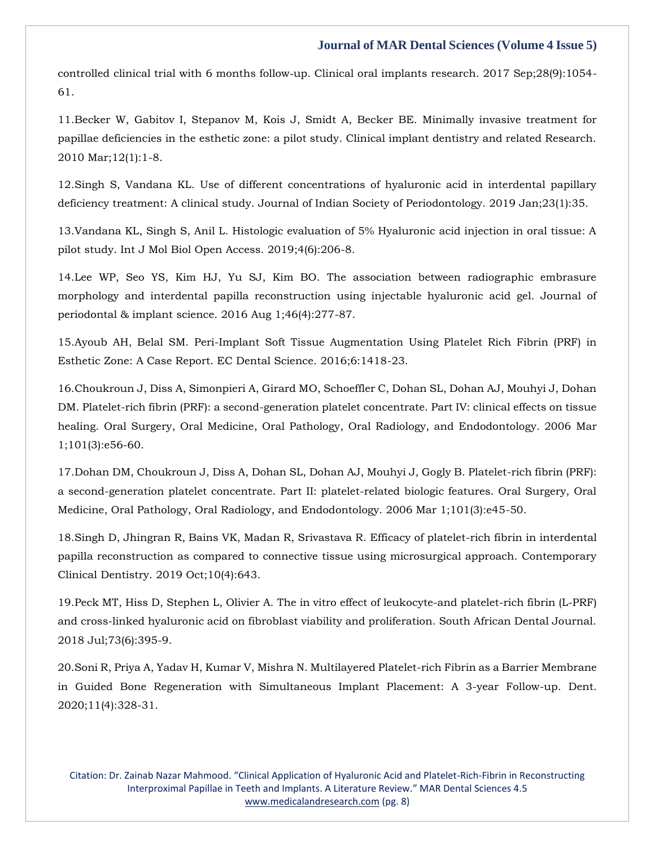controlled clinical trial with 6 months follow‐[up. Clinical oral implants research. 2017 Sep;28\(9\):1054-](https://www.google.com/search?q=Can+hyaluronan+injections+augment+deficient+papillae+at+implant%E2%80%90supported+crowns+in+the+anterior+maxilla%3F+A+randomized+controlled+clinical+trial+with+6+months+follow%E2%80%90up&sxsrf=APq-WBtnH0Usa6qDcrUrAiGhW2idyvUuVw%3A1643812843827&ei=65f6YYTqMfK_3LUPpqKJcA&ved=0ahUKEwjEi4iFoOH1AhXyH7cAHSZRAg4Q4dUDCA4&uact=5&oq=Can+hyaluronan+injections+augment+deficient+papillae+at+implant%E2%80%90supported+crowns+in+the+anterior+maxilla%3F+A+randomized+controlled+clinical+trial+with+6+months+follow%E2%80%90up&gs_lcp=Cgdnd3Mtd2l6EAMyBwgjEOoCECcyBwgjEOoCECcyBwgjEOoCECcyBwgjEOoCECcyBwgjEOoCECcyBwgjEOoCECcyBwgjEOoCECcyBwgjEOoCECcyBwgjEOoCECcyBwgjEOoCECdKBAhBGABKBAhGGABQnQZYnQZgvAhoAXACeACAAQCIAQCSAQCYAQCgAQGgAQKwAQrAAQE&sclient=gws-wiz) [61.](https://www.google.com/search?q=Can+hyaluronan+injections+augment+deficient+papillae+at+implant%E2%80%90supported+crowns+in+the+anterior+maxilla%3F+A+randomized+controlled+clinical+trial+with+6+months+follow%E2%80%90up&sxsrf=APq-WBtnH0Usa6qDcrUrAiGhW2idyvUuVw%3A1643812843827&ei=65f6YYTqMfK_3LUPpqKJcA&ved=0ahUKEwjEi4iFoOH1AhXyH7cAHSZRAg4Q4dUDCA4&uact=5&oq=Can+hyaluronan+injections+augment+deficient+papillae+at+implant%E2%80%90supported+crowns+in+the+anterior+maxilla%3F+A+randomized+controlled+clinical+trial+with+6+months+follow%E2%80%90up&gs_lcp=Cgdnd3Mtd2l6EAMyBwgjEOoCECcyBwgjEOoCECcyBwgjEOoCECcyBwgjEOoCECcyBwgjEOoCECcyBwgjEOoCECcyBwgjEOoCECcyBwgjEOoCECcyBwgjEOoCECcyBwgjEOoCECdKBAhBGABKBAhGGABQnQZYnQZgvAhoAXACeACAAQCIAQCSAQCYAQCgAQGgAQKwAQrAAQE&sclient=gws-wiz)

11[.Becker W, Gabitov I, Stepanov M, Kois J, Smidt A, Becker BE. Minimally invasive treatment for](https://www.google.com/search?q=Minimally+invasive+treatment+for+papillae+deficiencies+in+the+esthetic+zone%3A+a+pilot+study&sxsrf=APq-WBtmzarTlRPBH5EHQmAk8NpJV-2O0w%3A1643812868055&ei=BJj6YYfqAoWQmgfc9qVg&ved=0ahUKEwiH_M6QoOH1AhUFiOYKHVx7CQwQ4dUDCA4&uact=5&oq=Minimally+invasive+treatment+for+papillae+deficiencies+in+the+esthetic+zone%3A+a+pilot+study&gs_lcp=Cgdnd3Mtd2l6EAMyBAgAEB46BwgjEOoCECdKBAhBGABKBAhGGABQyAZYyAZg4ghoAXAAeACAAfcBiAH3AZIBAzItMZgBAKABAaABArABCsABAQ&sclient=gws-wiz)  [papillae deficiencies in the esthetic zone: a pilot study. Clinical implant dentistry and related Research.](https://www.google.com/search?q=Minimally+invasive+treatment+for+papillae+deficiencies+in+the+esthetic+zone%3A+a+pilot+study&sxsrf=APq-WBtmzarTlRPBH5EHQmAk8NpJV-2O0w%3A1643812868055&ei=BJj6YYfqAoWQmgfc9qVg&ved=0ahUKEwiH_M6QoOH1AhUFiOYKHVx7CQwQ4dUDCA4&uact=5&oq=Minimally+invasive+treatment+for+papillae+deficiencies+in+the+esthetic+zone%3A+a+pilot+study&gs_lcp=Cgdnd3Mtd2l6EAMyBAgAEB46BwgjEOoCECdKBAhBGABKBAhGGABQyAZYyAZg4ghoAXAAeACAAfcBiAH3AZIBAzItMZgBAKABAaABArABCsABAQ&sclient=gws-wiz)  [2010 Mar;12\(1\):1-8.](https://www.google.com/search?q=Minimally+invasive+treatment+for+papillae+deficiencies+in+the+esthetic+zone%3A+a+pilot+study&sxsrf=APq-WBtmzarTlRPBH5EHQmAk8NpJV-2O0w%3A1643812868055&ei=BJj6YYfqAoWQmgfc9qVg&ved=0ahUKEwiH_M6QoOH1AhUFiOYKHVx7CQwQ4dUDCA4&uact=5&oq=Minimally+invasive+treatment+for+papillae+deficiencies+in+the+esthetic+zone%3A+a+pilot+study&gs_lcp=Cgdnd3Mtd2l6EAMyBAgAEB46BwgjEOoCECdKBAhBGABKBAhGGABQyAZYyAZg4ghoAXAAeACAAfcBiAH3AZIBAzItMZgBAKABAaABArABCsABAQ&sclient=gws-wiz)

12[.Singh S, Vandana KL. Use of different concentrations of hyaluronic acid in interdental papillary](https://www.google.com/search?q=Use+of+different+concentrations+of+hyaluronic+acid+in+interdental+papillary+deficiency+treatment%3A+A+clinical+study&sxsrf=APq-WBsryVUzVIoKikqi5N5J6XgAJXKosg%3A1643812906037&ei=Kpj6YZDVAZ3A3LUPr52PmAY&ved=0ahUKEwiQkt2ioOH1AhUdILcAHa_OA2MQ4dUDCA4&uact=5&oq=Use+of+different+concentrations+of+hyaluronic+acid+in+interdental+papillary+deficiency+treatment%3A+A+clinical+study&gs_lcp=Cgdnd3Mtd2l6EAMyBwgjEOoCECcyBwgjEOoCECcyBwgjEOoCECcyBwgjEOoCECcyBwgjEOoCECcyBwgjEOoCECcyBwgjEOoCECcyBwgjEOoCECcyBwgjEOoCECcyBwgjEOoCECdKBAhBGABKBAhGGABQsQVYsQVgvQdoAXAAeACAAQCIAQCSAQCYAQCgAQGgAQKwAQrAAQE&sclient=gws-wiz)  [deficiency treatment: A clinical study. Journal of Indian Society of Periodontology. 2019 Jan;23\(1\):35.](https://www.google.com/search?q=Use+of+different+concentrations+of+hyaluronic+acid+in+interdental+papillary+deficiency+treatment%3A+A+clinical+study&sxsrf=APq-WBsryVUzVIoKikqi5N5J6XgAJXKosg%3A1643812906037&ei=Kpj6YZDVAZ3A3LUPr52PmAY&ved=0ahUKEwiQkt2ioOH1AhUdILcAHa_OA2MQ4dUDCA4&uact=5&oq=Use+of+different+concentrations+of+hyaluronic+acid+in+interdental+papillary+deficiency+treatment%3A+A+clinical+study&gs_lcp=Cgdnd3Mtd2l6EAMyBwgjEOoCECcyBwgjEOoCECcyBwgjEOoCECcyBwgjEOoCECcyBwgjEOoCECcyBwgjEOoCECcyBwgjEOoCECcyBwgjEOoCECcyBwgjEOoCECcyBwgjEOoCECdKBAhBGABKBAhGGABQsQVYsQVgvQdoAXAAeACAAQCIAQCSAQCYAQCgAQGgAQKwAQrAAQE&sclient=gws-wiz)

13[.Vandana KL, Singh S, Anil L. Histologic evaluation of 5% Hyaluronic acid injection in oral tissue: A](https://www.google.com/search?q=Histologic+evaluation+of+5%25+Hyaluronic+acid+injection+in+oral+tissue%3A+A+pilot+study&sxsrf=APq-WBt4WNHMD4qk6Tf8SDVR62hbSm4Bpw%3A1643812932509&ei=RJj6Yb7PHvvhz7sPg-qkoAU&ved=0ahUKEwi-ga2voOH1AhX78HMBHQM1CVQQ4dUDCA4&uact=5&oq=Histologic+evaluation+of+5%25+Hyaluronic+acid+injection+in+oral+tissue%3A+A+pilot+study&gs_lcp=Cgdnd3Mtd2l6EAM6BwgjEOoCECdKBAhBGABKBAhGGABQ4AVY4AVgxwhoAXACeACAAfUBiAH1AZIBAzItMZgBAKABAaABArABCsABAQ&sclient=gws-wiz)  [pilot study. Int J Mol Biol Open Access. 2019;4\(6\):206-8.](https://www.google.com/search?q=Histologic+evaluation+of+5%25+Hyaluronic+acid+injection+in+oral+tissue%3A+A+pilot+study&sxsrf=APq-WBt4WNHMD4qk6Tf8SDVR62hbSm4Bpw%3A1643812932509&ei=RJj6Yb7PHvvhz7sPg-qkoAU&ved=0ahUKEwi-ga2voOH1AhX78HMBHQM1CVQQ4dUDCA4&uact=5&oq=Histologic+evaluation+of+5%25+Hyaluronic+acid+injection+in+oral+tissue%3A+A+pilot+study&gs_lcp=Cgdnd3Mtd2l6EAM6BwgjEOoCECdKBAhBGABKBAhGGABQ4AVY4AVgxwhoAXACeACAAfUBiAH1AZIBAzItMZgBAKABAaABArABCsABAQ&sclient=gws-wiz)

14[.Lee WP, Seo YS, Kim HJ, Yu SJ, Kim BO. The association between radiographic embrasure](https://www.google.com/search?q=The+association+between+radiographic+embrasure+morphology+and+interdental+papilla+reconstruction+using+injectable+hyaluronic+acid+gel&sxsrf=APq-WBvBbXPox3WRe1lhDJJqQyxL-5apnw%3A1643812953167&ei=WZj6YYDCCZTiz7sPqLGm2Ao&ved=0ahUKEwjA0pm5oOH1AhUU8XMBHaiYCasQ4dUDCA4&uact=5&oq=The+association+between+radiographic+embrasure+morphology+and+interdental+papilla+reconstruction+using+injectable+hyaluronic+acid+gel&gs_lcp=Cgdnd3Mtd2l6EAMyBwgjEOoCECcyBwgjEOoCECcyBwgjEOoCECcyBwgjEOoCECcyBwgjEOoCECcyBwgjEOoCECcyBwgjEOoCECcyBwgjEOoCECcyBwgjEOoCECcyBwgjEOoCECdKBAhBGABKBAhGGABQrgVYrgVg8wdoAXAAeACAAQCIAQCSAQCYAQCgAQGgAQKwAQrAAQE&sclient=gws-wiz)  [morphology and interdental papilla reconstruction using injectable hyaluronic acid gel. Journal of](https://www.google.com/search?q=The+association+between+radiographic+embrasure+morphology+and+interdental+papilla+reconstruction+using+injectable+hyaluronic+acid+gel&sxsrf=APq-WBvBbXPox3WRe1lhDJJqQyxL-5apnw%3A1643812953167&ei=WZj6YYDCCZTiz7sPqLGm2Ao&ved=0ahUKEwjA0pm5oOH1AhUU8XMBHaiYCasQ4dUDCA4&uact=5&oq=The+association+between+radiographic+embrasure+morphology+and+interdental+papilla+reconstruction+using+injectable+hyaluronic+acid+gel&gs_lcp=Cgdnd3Mtd2l6EAMyBwgjEOoCECcyBwgjEOoCECcyBwgjEOoCECcyBwgjEOoCECcyBwgjEOoCECcyBwgjEOoCECcyBwgjEOoCECcyBwgjEOoCECcyBwgjEOoCECcyBwgjEOoCECdKBAhBGABKBAhGGABQrgVYrgVg8wdoAXAAeACAAQCIAQCSAQCYAQCgAQGgAQKwAQrAAQE&sclient=gws-wiz)  [periodontal & implant science. 2016 Aug 1;46\(4\):277-87.](https://www.google.com/search?q=The+association+between+radiographic+embrasure+morphology+and+interdental+papilla+reconstruction+using+injectable+hyaluronic+acid+gel&sxsrf=APq-WBvBbXPox3WRe1lhDJJqQyxL-5apnw%3A1643812953167&ei=WZj6YYDCCZTiz7sPqLGm2Ao&ved=0ahUKEwjA0pm5oOH1AhUU8XMBHaiYCasQ4dUDCA4&uact=5&oq=The+association+between+radiographic+embrasure+morphology+and+interdental+papilla+reconstruction+using+injectable+hyaluronic+acid+gel&gs_lcp=Cgdnd3Mtd2l6EAMyBwgjEOoCECcyBwgjEOoCECcyBwgjEOoCECcyBwgjEOoCECcyBwgjEOoCECcyBwgjEOoCECcyBwgjEOoCECcyBwgjEOoCECcyBwgjEOoCECcyBwgjEOoCECdKBAhBGABKBAhGGABQrgVYrgVg8wdoAXAAeACAAQCIAQCSAQCYAQCgAQGgAQKwAQrAAQE&sclient=gws-wiz)

15[.Ayoub AH, Belal SM. Peri-Implant Soft Tissue Augmentation Using Platelet Rich Fibrin \(PRF\) in](https://www.google.com/search?q=Peri-Implant+Soft+Tissue+Augmentation+Using+Platelet+Rich+Fibrin+%28PRF%29+in+Esthetic+Zone%3A+A+Case+Report&sxsrf=APq-WBt_8KLbhry7O0DlO9AW3UweooyKzA%3A1643812973643&ei=bZj6Ya3hJrfez7sP4oqysAI&ved=0ahUKEwjty_vCoOH1AhU373MBHWKFDCYQ4dUDCA4&uact=5&oq=Peri-Implant+Soft+Tissue+Augmentation+Using+Platelet+Rich+Fibrin+%28PRF%29+in+Esthetic+Zone%3A+A+Case+Report&gs_lcp=Cgdnd3Mtd2l6EAMyBwgjEOoCECcyBwgjEOoCECcyBwgjEOoCECcyBwgjEOoCECcyBwgjEOoCECcyBwgjEOoCECcyBwgjEOoCECcyBwgjEOoCECcyBwgjEOoCECcyBwgjEOoCECdKBAhBGABKBAhGGABQswVYswVgkghoAXAAeACAAQCIAQCSAQCYAQCgAQGgAQKwAQrAAQE&sclient=gws-wiz)  [Esthetic Zone: A Case Report. EC Dental Science. 2016;6:1418-23.](https://www.google.com/search?q=Peri-Implant+Soft+Tissue+Augmentation+Using+Platelet+Rich+Fibrin+%28PRF%29+in+Esthetic+Zone%3A+A+Case+Report&sxsrf=APq-WBt_8KLbhry7O0DlO9AW3UweooyKzA%3A1643812973643&ei=bZj6Ya3hJrfez7sP4oqysAI&ved=0ahUKEwjty_vCoOH1AhU373MBHWKFDCYQ4dUDCA4&uact=5&oq=Peri-Implant+Soft+Tissue+Augmentation+Using+Platelet+Rich+Fibrin+%28PRF%29+in+Esthetic+Zone%3A+A+Case+Report&gs_lcp=Cgdnd3Mtd2l6EAMyBwgjEOoCECcyBwgjEOoCECcyBwgjEOoCECcyBwgjEOoCECcyBwgjEOoCECcyBwgjEOoCECcyBwgjEOoCECcyBwgjEOoCECcyBwgjEOoCECcyBwgjEOoCECdKBAhBGABKBAhGGABQswVYswVgkghoAXAAeACAAQCIAQCSAQCYAQCgAQGgAQKwAQrAAQE&sclient=gws-wiz)

16[.Choukroun J, Diss A, Simonpieri A, Girard MO, Schoeffler C, Dohan SL, Dohan AJ, Mouhyi J, Dohan](https://www.google.com/search?q=Platelet-rich+fibrin+%28PRF%29%3A+a+second-generation+platelet+concentrate.+Part+IV%3A+clinical+effects+on+tissue+healing&sxsrf=APq-WBsSiTFr9dowtGgL8UWK8UMVsapZ4g%3A1643812990982&ei=fpj6Yd6JO-vD3LUPmp640AM&ved=0ahUKEwjewJ3LoOH1AhXrIbcAHRoPDjoQ4dUDCA4&uact=5&oq=Platelet-rich+fibrin+%28PRF%29%3A+a+second-generation+platelet+concentrate.+Part+IV%3A+clinical+effects+on+tissue+healing&gs_lcp=Cgdnd3Mtd2l6EAMyBwgjEOoCECcyBwgjEOoCECcyBwgjEOoCECcyBwgjEOoCECcyBwgjEOoCECcyBwgjEOoCECcyBwgjEOoCECcyBwgjEOoCECcyBwgjEOoCECcyBwgjEOoCECdKBAhBGABKBAhGGABQpwZYpwZgoghoAXAAeACAAQCIAQCSAQCYAQCgAQGgAQKwAQrAAQE&sclient=gws-wiz)  [DM. Platelet-rich fibrin \(PRF\): a second-generation platelet concentrate. Part IV: clinical effects on tissue](https://www.google.com/search?q=Platelet-rich+fibrin+%28PRF%29%3A+a+second-generation+platelet+concentrate.+Part+IV%3A+clinical+effects+on+tissue+healing&sxsrf=APq-WBsSiTFr9dowtGgL8UWK8UMVsapZ4g%3A1643812990982&ei=fpj6Yd6JO-vD3LUPmp640AM&ved=0ahUKEwjewJ3LoOH1AhXrIbcAHRoPDjoQ4dUDCA4&uact=5&oq=Platelet-rich+fibrin+%28PRF%29%3A+a+second-generation+platelet+concentrate.+Part+IV%3A+clinical+effects+on+tissue+healing&gs_lcp=Cgdnd3Mtd2l6EAMyBwgjEOoCECcyBwgjEOoCECcyBwgjEOoCECcyBwgjEOoCECcyBwgjEOoCECcyBwgjEOoCECcyBwgjEOoCECcyBwgjEOoCECcyBwgjEOoCECcyBwgjEOoCECdKBAhBGABKBAhGGABQpwZYpwZgoghoAXAAeACAAQCIAQCSAQCYAQCgAQGgAQKwAQrAAQE&sclient=gws-wiz)  [healing. Oral Surgery, Oral Medicine, Oral Pathology, Oral Radiology, and Endodontology. 2006](https://www.google.com/search?q=Platelet-rich+fibrin+%28PRF%29%3A+a+second-generation+platelet+concentrate.+Part+IV%3A+clinical+effects+on+tissue+healing&sxsrf=APq-WBsSiTFr9dowtGgL8UWK8UMVsapZ4g%3A1643812990982&ei=fpj6Yd6JO-vD3LUPmp640AM&ved=0ahUKEwjewJ3LoOH1AhXrIbcAHRoPDjoQ4dUDCA4&uact=5&oq=Platelet-rich+fibrin+%28PRF%29%3A+a+second-generation+platelet+concentrate.+Part+IV%3A+clinical+effects+on+tissue+healing&gs_lcp=Cgdnd3Mtd2l6EAMyBwgjEOoCECcyBwgjEOoCECcyBwgjEOoCECcyBwgjEOoCECcyBwgjEOoCECcyBwgjEOoCECcyBwgjEOoCECcyBwgjEOoCECcyBwgjEOoCECcyBwgjEOoCECdKBAhBGABKBAhGGABQpwZYpwZgoghoAXAAeACAAQCIAQCSAQCYAQCgAQGgAQKwAQrAAQE&sclient=gws-wiz) Mar [1;101\(3\):e56-60.](https://www.google.com/search?q=Platelet-rich+fibrin+%28PRF%29%3A+a+second-generation+platelet+concentrate.+Part+IV%3A+clinical+effects+on+tissue+healing&sxsrf=APq-WBsSiTFr9dowtGgL8UWK8UMVsapZ4g%3A1643812990982&ei=fpj6Yd6JO-vD3LUPmp640AM&ved=0ahUKEwjewJ3LoOH1AhXrIbcAHRoPDjoQ4dUDCA4&uact=5&oq=Platelet-rich+fibrin+%28PRF%29%3A+a+second-generation+platelet+concentrate.+Part+IV%3A+clinical+effects+on+tissue+healing&gs_lcp=Cgdnd3Mtd2l6EAMyBwgjEOoCECcyBwgjEOoCECcyBwgjEOoCECcyBwgjEOoCECcyBwgjEOoCECcyBwgjEOoCECcyBwgjEOoCECcyBwgjEOoCECcyBwgjEOoCECcyBwgjEOoCECdKBAhBGABKBAhGGABQpwZYpwZgoghoAXAAeACAAQCIAQCSAQCYAQCgAQGgAQKwAQrAAQE&sclient=gws-wiz)

17[.Dohan DM, Choukroun J, Diss A, Dohan SL, Dohan AJ, Mouhyi J, Gogly B. Platelet-rich fibrin \(PRF\):](https://www.google.com/search?q=Platelet-rich+fibrin+%28PRF%29%3A+a+second-generation+platelet+concentrate.+Part+II%3A+platelet-related+biologic+features&sxsrf=APq-WBt83H1Kib58LHiVyAui_zbXtLyPvg%3A1643813047098&ei=t5j6Ye6nBYmLseMPg_mQeA&ved=0ahUKEwiu3_7loOH1AhWJRWwGHYM8BA8Q4dUDCA4&uact=5&oq=Platelet-rich+fibrin+%28PRF%29%3A+a+second-generation+platelet+concentrate.+Part+II%3A+platelet-related+biologic+features&gs_lcp=Cgdnd3Mtd2l6EAMyBwgjEOoCECcyBwgjEOoCECcyBwgjEOoCECcyBwgjEOoCECcyBwgjEOoCECcyBwgjEOoCECcyBwgjEOoCECcyBwgjEOoCECcyBwgjEOoCECcyBwgjEOoCECdKBAhBGABKBAhGGABQzQVYzQVgqwhoAXACeACAAQCIAQCSAQCYAQCgAQGgAQKwAQrAAQE&sclient=gws-wiz)  [a second-generation platelet concentrate. Part II: platelet-related biologic features. Oral Surgery, Oral](https://www.google.com/search?q=Platelet-rich+fibrin+%28PRF%29%3A+a+second-generation+platelet+concentrate.+Part+II%3A+platelet-related+biologic+features&sxsrf=APq-WBt83H1Kib58LHiVyAui_zbXtLyPvg%3A1643813047098&ei=t5j6Ye6nBYmLseMPg_mQeA&ved=0ahUKEwiu3_7loOH1AhWJRWwGHYM8BA8Q4dUDCA4&uact=5&oq=Platelet-rich+fibrin+%28PRF%29%3A+a+second-generation+platelet+concentrate.+Part+II%3A+platelet-related+biologic+features&gs_lcp=Cgdnd3Mtd2l6EAMyBwgjEOoCECcyBwgjEOoCECcyBwgjEOoCECcyBwgjEOoCECcyBwgjEOoCECcyBwgjEOoCECcyBwgjEOoCECcyBwgjEOoCECcyBwgjEOoCECcyBwgjEOoCECdKBAhBGABKBAhGGABQzQVYzQVgqwhoAXACeACAAQCIAQCSAQCYAQCgAQGgAQKwAQrAAQE&sclient=gws-wiz)  [Medicine, Oral Pathology, Oral Radiology, and Endodontology. 2006 Mar 1;101\(3\):e45-50.](https://www.google.com/search?q=Platelet-rich+fibrin+%28PRF%29%3A+a+second-generation+platelet+concentrate.+Part+II%3A+platelet-related+biologic+features&sxsrf=APq-WBt83H1Kib58LHiVyAui_zbXtLyPvg%3A1643813047098&ei=t5j6Ye6nBYmLseMPg_mQeA&ved=0ahUKEwiu3_7loOH1AhWJRWwGHYM8BA8Q4dUDCA4&uact=5&oq=Platelet-rich+fibrin+%28PRF%29%3A+a+second-generation+platelet+concentrate.+Part+II%3A+platelet-related+biologic+features&gs_lcp=Cgdnd3Mtd2l6EAMyBwgjEOoCECcyBwgjEOoCECcyBwgjEOoCECcyBwgjEOoCECcyBwgjEOoCECcyBwgjEOoCECcyBwgjEOoCECcyBwgjEOoCECcyBwgjEOoCECcyBwgjEOoCECdKBAhBGABKBAhGGABQzQVYzQVgqwhoAXACeACAAQCIAQCSAQCYAQCgAQGgAQKwAQrAAQE&sclient=gws-wiz)

18[.Singh D, Jhingran R, Bains VK, Madan R, Srivastava R. Efficacy of platelet-rich fibrin in interdental](https://www.google.com/search?q=Efficacy+of+platelet-rich+fibrin+in+interdental+papilla+reconstruction+as+compared+to+connective+tissue+using+microsurgical+approach&sxsrf=APq-WBs6m2Srg8yP_VBhJ377Jg9h4q7YTA%3A1643813088468&ei=4Jj6YcHhG-mXseMPn9aKyAE&ved=0ahUKEwjB0dv5oOH1AhXpS2wGHR-rAhkQ4dUDCA4&uact=5&oq=Efficacy+of+platelet-rich+fibrin+in+interdental+papilla+reconstruction+as+compared+to+connective+tissue+using+microsurgical+approach&gs_lcp=Cgdnd3Mtd2l6EAMyBwgjEOoCECcyBwgjEOoCECcyBwgjEOoCECcyBwgjEOoCECcyBwgjEOoCECcyBwgjEOoCECcyBwgjEOoCECcyBwgjEOoCECcyBwgjEOoCECcyBwgjEOoCECdKBAhBGABKBAhGGABQ9QVY9QVguAhoAXACeACAAQCIAQCSAQCYAQCgAQGgAQKwAQrAAQE&sclient=gws-wiz)  [papilla reconstruction as compared to connective tissue using microsurgical approach. Contemporary](https://www.google.com/search?q=Efficacy+of+platelet-rich+fibrin+in+interdental+papilla+reconstruction+as+compared+to+connective+tissue+using+microsurgical+approach&sxsrf=APq-WBs6m2Srg8yP_VBhJ377Jg9h4q7YTA%3A1643813088468&ei=4Jj6YcHhG-mXseMPn9aKyAE&ved=0ahUKEwjB0dv5oOH1AhXpS2wGHR-rAhkQ4dUDCA4&uact=5&oq=Efficacy+of+platelet-rich+fibrin+in+interdental+papilla+reconstruction+as+compared+to+connective+tissue+using+microsurgical+approach&gs_lcp=Cgdnd3Mtd2l6EAMyBwgjEOoCECcyBwgjEOoCECcyBwgjEOoCECcyBwgjEOoCECcyBwgjEOoCECcyBwgjEOoCECcyBwgjEOoCECcyBwgjEOoCECcyBwgjEOoCECcyBwgjEOoCECdKBAhBGABKBAhGGABQ9QVY9QVguAhoAXACeACAAQCIAQCSAQCYAQCgAQGgAQKwAQrAAQE&sclient=gws-wiz)  [Clinical Dentistry. 2019 Oct;10\(4\):643.](https://www.google.com/search?q=Efficacy+of+platelet-rich+fibrin+in+interdental+papilla+reconstruction+as+compared+to+connective+tissue+using+microsurgical+approach&sxsrf=APq-WBs6m2Srg8yP_VBhJ377Jg9h4q7YTA%3A1643813088468&ei=4Jj6YcHhG-mXseMPn9aKyAE&ved=0ahUKEwjB0dv5oOH1AhXpS2wGHR-rAhkQ4dUDCA4&uact=5&oq=Efficacy+of+platelet-rich+fibrin+in+interdental+papilla+reconstruction+as+compared+to+connective+tissue+using+microsurgical+approach&gs_lcp=Cgdnd3Mtd2l6EAMyBwgjEOoCECcyBwgjEOoCECcyBwgjEOoCECcyBwgjEOoCECcyBwgjEOoCECcyBwgjEOoCECcyBwgjEOoCECcyBwgjEOoCECcyBwgjEOoCECcyBwgjEOoCECdKBAhBGABKBAhGGABQ9QVY9QVguAhoAXACeACAAQCIAQCSAQCYAQCgAQGgAQKwAQrAAQE&sclient=gws-wiz)

19[.Peck MT, Hiss D, Stephen L, Olivier A. The in vitro effect of leukocyte-and platelet-rich fibrin \(L-PRF\)](https://www.google.com/search?q=The+in+vitro+effect+of+leukocyte-and+platelet-rich+fibrin+%28L-PRF%29+and+cross-linked+hyaluronic+acid+on+fibroblast+viability+and+proliferation&sxsrf=APq-WBujmg2gPivhc56SwgHuVJoAfClP1g%3A1643813141555&ei=FZn6YdqkIe2RseMPifq-mAk&ved=0ahUKEwiag4SToeH1AhXtSGwGHQm9D5MQ4dUDCA4&uact=5&oq=The+in+vitro+effect+of+leukocyte-and+platelet-rich+fibrin+%28L-PRF%29+and+cross-linked+hyaluronic+acid+on+fibroblast+viability+and+proliferation&gs_lcp=Cgdnd3Mtd2l6EAMyBwgjEOoCECcyBwgjEOoCECcyBwgjEOoCECcyBwgjEOoCECcyBwgjEOoCECcyBwgjEOoCECcyBwgjEOoCECcyBwgjEOoCECcyBwgjEOoCECcyBwgjEOoCECdKBAhBGABKBAhGGABQoQVYoQVg7gdoAXAAeACAAQCIAQCSAQCYAQCgAQGgAQKwAQrAAQE&sclient=gws-wiz)  [and cross-linked hyaluronic acid on fibroblast viability and proliferation. South African Dental Journal.](https://www.google.com/search?q=The+in+vitro+effect+of+leukocyte-and+platelet-rich+fibrin+%28L-PRF%29+and+cross-linked+hyaluronic+acid+on+fibroblast+viability+and+proliferation&sxsrf=APq-WBujmg2gPivhc56SwgHuVJoAfClP1g%3A1643813141555&ei=FZn6YdqkIe2RseMPifq-mAk&ved=0ahUKEwiag4SToeH1AhXtSGwGHQm9D5MQ4dUDCA4&uact=5&oq=The+in+vitro+effect+of+leukocyte-and+platelet-rich+fibrin+%28L-PRF%29+and+cross-linked+hyaluronic+acid+on+fibroblast+viability+and+proliferation&gs_lcp=Cgdnd3Mtd2l6EAMyBwgjEOoCECcyBwgjEOoCECcyBwgjEOoCECcyBwgjEOoCECcyBwgjEOoCECcyBwgjEOoCECcyBwgjEOoCECcyBwgjEOoCECcyBwgjEOoCECcyBwgjEOoCECdKBAhBGABKBAhGGABQoQVYoQVg7gdoAXAAeACAAQCIAQCSAQCYAQCgAQGgAQKwAQrAAQE&sclient=gws-wiz)  [2018 Jul;73\(6\):395-9.](https://www.google.com/search?q=The+in+vitro+effect+of+leukocyte-and+platelet-rich+fibrin+%28L-PRF%29+and+cross-linked+hyaluronic+acid+on+fibroblast+viability+and+proliferation&sxsrf=APq-WBujmg2gPivhc56SwgHuVJoAfClP1g%3A1643813141555&ei=FZn6YdqkIe2RseMPifq-mAk&ved=0ahUKEwiag4SToeH1AhXtSGwGHQm9D5MQ4dUDCA4&uact=5&oq=The+in+vitro+effect+of+leukocyte-and+platelet-rich+fibrin+%28L-PRF%29+and+cross-linked+hyaluronic+acid+on+fibroblast+viability+and+proliferation&gs_lcp=Cgdnd3Mtd2l6EAMyBwgjEOoCECcyBwgjEOoCECcyBwgjEOoCECcyBwgjEOoCECcyBwgjEOoCECcyBwgjEOoCECcyBwgjEOoCECcyBwgjEOoCECcyBwgjEOoCECcyBwgjEOoCECdKBAhBGABKBAhGGABQoQVYoQVg7gdoAXAAeACAAQCIAQCSAQCYAQCgAQGgAQKwAQrAAQE&sclient=gws-wiz)

20[.Soni R, Priya A, Yadav H, Kumar V, Mishra N. Multilayered Platelet-rich Fibrin as a Barrier Membrane](https://www.google.com/search?q=Multilayered+Platelet-rich+Fibrin+as+a+Barrier+Membrane+in+Guided+Bone+Regeneration+with+Simultaneous+Implant+Placement%3A+A+3-year+Follow-up&sxsrf=APq-WBuHI0xwV7nLKkbnpnVKT4zMQLssAg%3A1643813162365&ei=Kpn6YfjdFb2gseMPmqGUiAw&ved=0ahUKEwj4mvqcoeH1AhU9UGwGHZoQBcEQ4dUDCA4&uact=5&oq=Multilayered+Platelet-rich+Fibrin+as+a+Barrier+Membrane+in+Guided+Bone+Regeneration+with+Simultaneous+Implant+Placement%3A+A+3-year+Follow-up&gs_lcp=Cgdnd3Mtd2l6EAMyBwgjEOoCECcyBwgjEOoCECcyBwgjEOoCECcyBwgjEOoCECcyBwgjEOoCECcyBwgjEOoCECcyBwgjEOoCECcyBwgjEOoCECcyBwgjEOoCECcyBwgjEOoCECdKBAhBGABKBAhGGABQtgVYtgVg7AdoAXAAeACAAQCIAQCSAQCYAQCgAQGgAQKwAQrAAQE&sclient=gws-wiz)  [in Guided Bone Regeneration with Simultaneous Implant Placement: A 3-year Follow-up. Dent.](https://www.google.com/search?q=Multilayered+Platelet-rich+Fibrin+as+a+Barrier+Membrane+in+Guided+Bone+Regeneration+with+Simultaneous+Implant+Placement%3A+A+3-year+Follow-up&sxsrf=APq-WBuHI0xwV7nLKkbnpnVKT4zMQLssAg%3A1643813162365&ei=Kpn6YfjdFb2gseMPmqGUiAw&ved=0ahUKEwj4mvqcoeH1AhU9UGwGHZoQBcEQ4dUDCA4&uact=5&oq=Multilayered+Platelet-rich+Fibrin+as+a+Barrier+Membrane+in+Guided+Bone+Regeneration+with+Simultaneous+Implant+Placement%3A+A+3-year+Follow-up&gs_lcp=Cgdnd3Mtd2l6EAMyBwgjEOoCECcyBwgjEOoCECcyBwgjEOoCECcyBwgjEOoCECcyBwgjEOoCECcyBwgjEOoCECcyBwgjEOoCECcyBwgjEOoCECcyBwgjEOoCECcyBwgjEOoCECdKBAhBGABKBAhGGABQtgVYtgVg7AdoAXAAeACAAQCIAQCSAQCYAQCgAQGgAQKwAQrAAQE&sclient=gws-wiz)  [2020;11\(4\):328-31.](https://www.google.com/search?q=Multilayered+Platelet-rich+Fibrin+as+a+Barrier+Membrane+in+Guided+Bone+Regeneration+with+Simultaneous+Implant+Placement%3A+A+3-year+Follow-up&sxsrf=APq-WBuHI0xwV7nLKkbnpnVKT4zMQLssAg%3A1643813162365&ei=Kpn6YfjdFb2gseMPmqGUiAw&ved=0ahUKEwj4mvqcoeH1AhU9UGwGHZoQBcEQ4dUDCA4&uact=5&oq=Multilayered+Platelet-rich+Fibrin+as+a+Barrier+Membrane+in+Guided+Bone+Regeneration+with+Simultaneous+Implant+Placement%3A+A+3-year+Follow-up&gs_lcp=Cgdnd3Mtd2l6EAMyBwgjEOoCECcyBwgjEOoCECcyBwgjEOoCECcyBwgjEOoCECcyBwgjEOoCECcyBwgjEOoCECcyBwgjEOoCECcyBwgjEOoCECcyBwgjEOoCECcyBwgjEOoCECdKBAhBGABKBAhGGABQtgVYtgVg7AdoAXAAeACAAQCIAQCSAQCYAQCgAQGgAQKwAQrAAQE&sclient=gws-wiz)

Citation: Dr. Zainab Nazar Mahmood. "Clinical Application of Hyaluronic Acid and Platelet-Rich-Fibrin in Reconstructing Interproximal Papillae in Teeth and Implants. A Literature Review." MAR Dental Sciences 4.5 [www.medicalandresearch.com](http://www.medicalandresearch.com/) (pg. 8)